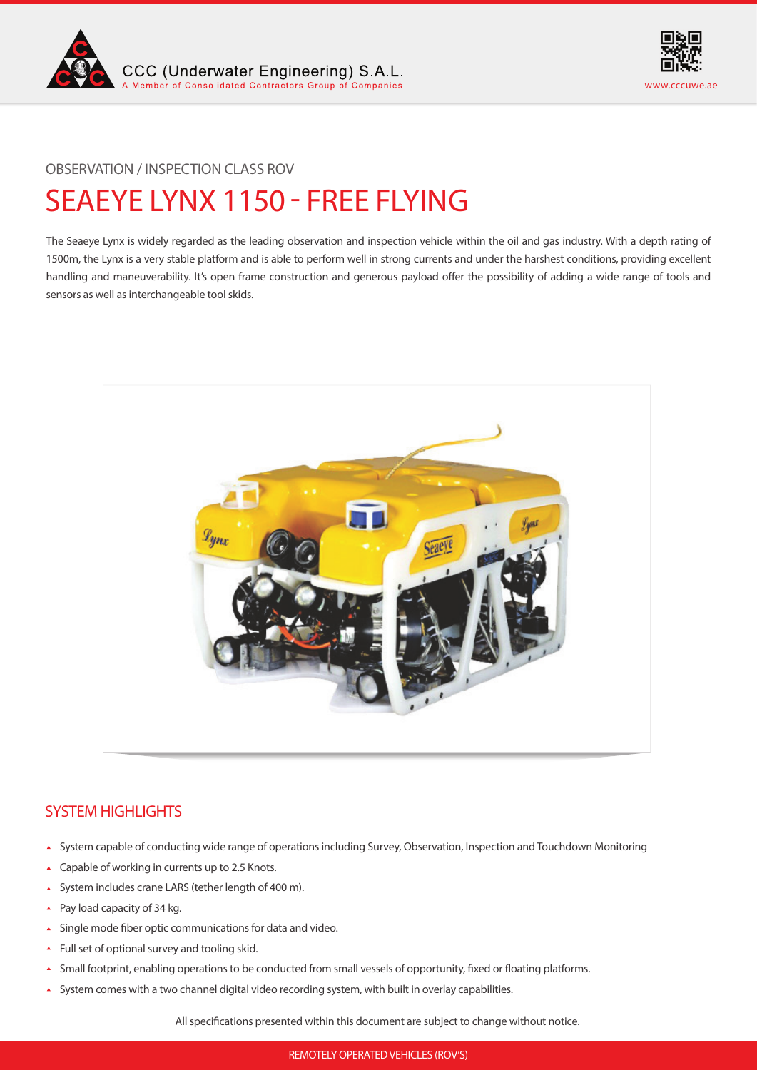



# SEAEYE LYNX 1150 - FREE FLYING OBSERVATION / INSPECTION CLASS ROV

The Seaeye Lynx is widely regarded as the leading observation and inspection vehicle within the oil and gas industry. With a depth rating of 1500m, the Lynx is a very stable platform and is able to perform well in strong currents and under the harshest conditions, providing excellent handling and maneuverability. It's open frame construction and generous payload offer the possibility of adding a wide range of tools and sensors as well as interchangeable tool skids.



# SYSTEM HIGHLIGHTS

- System capable of conducting wide range of operations including Survey, Observation, Inspection and Touchdown Monitoring
- ▲ Capable of working in currents up to 2.5 Knots.
- System includes crane LARS (tether length of 400 m).
- ▲ Pay load capacity of 34 kg.
- Single mode fiber optic communications for data and video.
- Full set of optional survey and tooling skid.
- Small footprint, enabling operations to be conducted from small vessels of opportunity, fixed or floating platforms.  $\blacktriangle$
- System comes with a two channel digital video recording system, with built in overlay capabilities.

All specifications presented within this document are subject to change without notice.